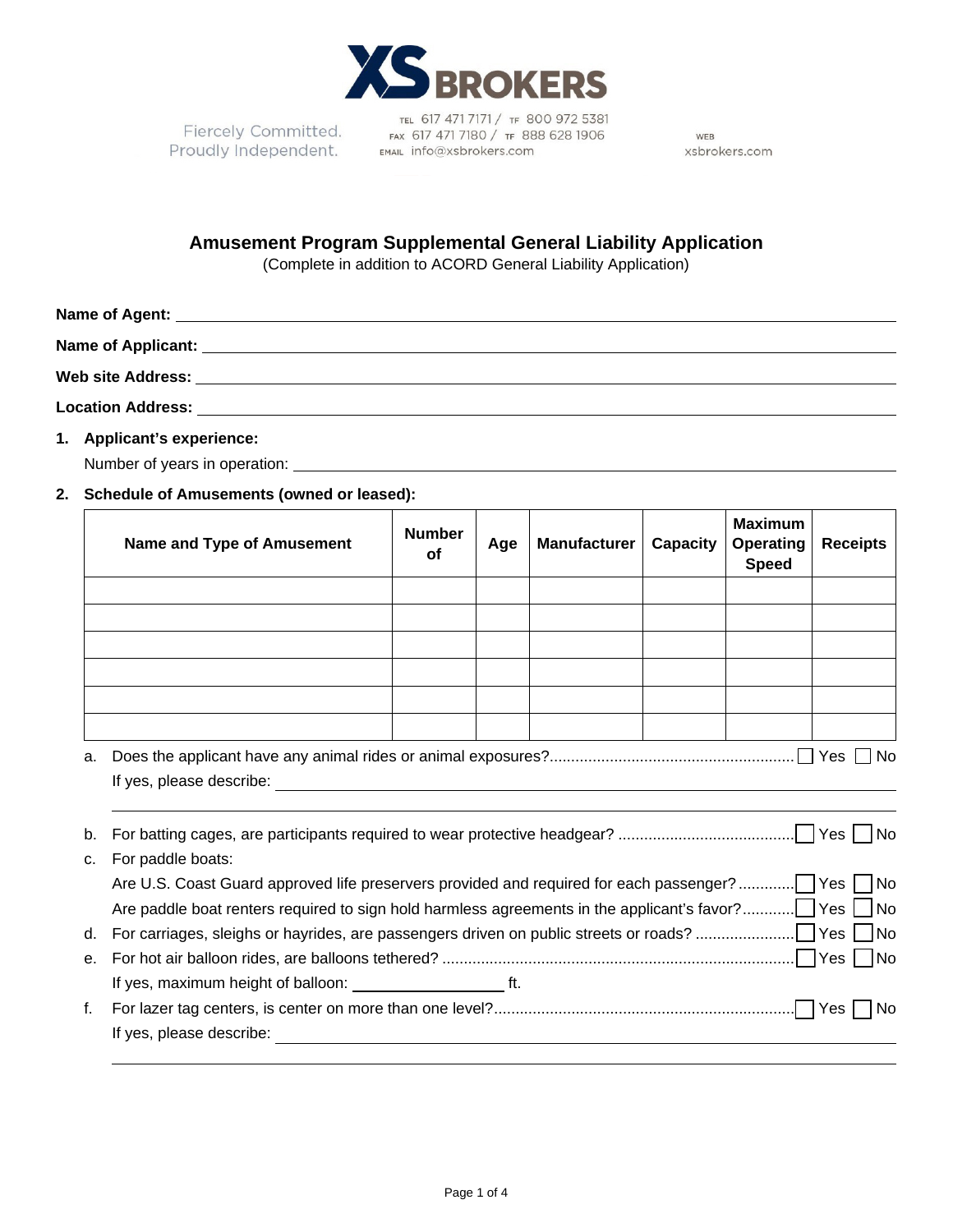

Fiercely Committed. Proudly Independent.

TEL 617 471 7171 / TF 800 972 5381 FAX 617 471 7180 / TF 888 628 1906 EMAIL info@xsbrokers.com

WEB xsbrokers.com

# **Amusement Program Supplemental General Liability Application**

(Complete in addition to ACORD General Liability Application)

**1. Applicant's experience:**

Number of years in operation: \_\_\_\_\_\_\_\_\_\_

## **2. Schedule of Amusements (owned or leased):**

|         | Name and Type of Amusement                                                                                                                                                                                                     | <b>Number</b><br><b>of</b> | Age | <b>Manufacturer</b> | Capacity | <b>Maximum</b><br><b>Operating</b><br><b>Speed</b> | <b>Receipts</b> |
|---------|--------------------------------------------------------------------------------------------------------------------------------------------------------------------------------------------------------------------------------|----------------------------|-----|---------------------|----------|----------------------------------------------------|-----------------|
|         |                                                                                                                                                                                                                                |                            |     |                     |          |                                                    |                 |
|         |                                                                                                                                                                                                                                |                            |     |                     |          |                                                    |                 |
|         |                                                                                                                                                                                                                                |                            |     |                     |          |                                                    |                 |
|         |                                                                                                                                                                                                                                |                            |     |                     |          |                                                    |                 |
|         |                                                                                                                                                                                                                                |                            |     |                     |          |                                                    |                 |
|         |                                                                                                                                                                                                                                |                            |     |                     |          |                                                    |                 |
| a.      |                                                                                                                                                                                                                                |                            |     |                     |          |                                                    |                 |
|         | If yes, please describe: expression of the set of year and year of year and year and year and year and year and year and year and year and year and year and year and year and year and year and year and year and year and ye |                            |     |                     |          |                                                    |                 |
|         |                                                                                                                                                                                                                                |                            |     |                     |          |                                                    |                 |
| b.      |                                                                                                                                                                                                                                |                            |     |                     |          |                                                    |                 |
| $C_{1}$ | For paddle boats:                                                                                                                                                                                                              |                            |     |                     |          |                                                    |                 |
|         | Are U.S. Coast Guard approved life preservers provided and required for each passenger?  Yes   No                                                                                                                              |                            |     |                     |          |                                                    |                 |
|         |                                                                                                                                                                                                                                |                            |     |                     |          |                                                    |                 |
| d.      |                                                                                                                                                                                                                                |                            |     |                     |          |                                                    |                 |
| е.      |                                                                                                                                                                                                                                |                            |     |                     |          |                                                    |                 |
|         |                                                                                                                                                                                                                                |                            |     |                     |          |                                                    |                 |
| f.      |                                                                                                                                                                                                                                |                            |     |                     |          |                                                    |                 |
|         | If yes, please describe:                                                                                                                                                                                                       |                            |     |                     |          |                                                    |                 |
|         |                                                                                                                                                                                                                                |                            |     |                     |          |                                                    |                 |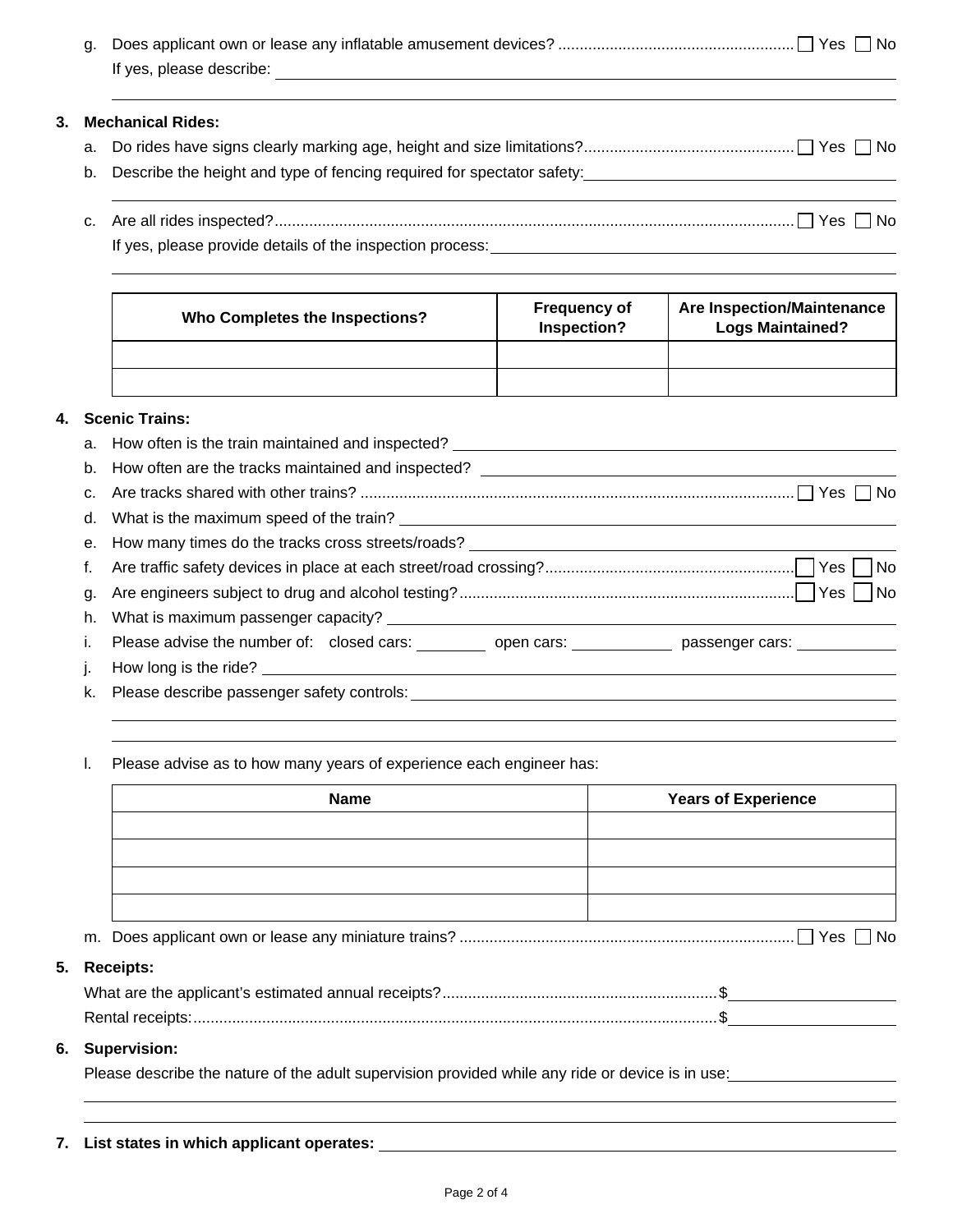|    | g. |                                                                                                                                                                                                                                |                                    |                                                              |  |  |
|----|----|--------------------------------------------------------------------------------------------------------------------------------------------------------------------------------------------------------------------------------|------------------------------------|--------------------------------------------------------------|--|--|
| 3. |    | <b>Mechanical Rides:</b>                                                                                                                                                                                                       |                                    |                                                              |  |  |
|    | a. |                                                                                                                                                                                                                                |                                    |                                                              |  |  |
|    | b. | Describe the height and type of fencing required for spectator safety:<br><u>Describe the height and type of fencing required for spectator safety:</u>                                                                        |                                    |                                                              |  |  |
|    | C. |                                                                                                                                                                                                                                |                                    |                                                              |  |  |
|    |    |                                                                                                                                                                                                                                |                                    |                                                              |  |  |
|    |    | <b>Who Completes the Inspections?</b>                                                                                                                                                                                          | <b>Frequency of</b><br>Inspection? | <b>Are Inspection/Maintenance</b><br><b>Logs Maintained?</b> |  |  |
|    |    |                                                                                                                                                                                                                                |                                    |                                                              |  |  |
|    |    |                                                                                                                                                                                                                                |                                    |                                                              |  |  |
| 4. |    | <b>Scenic Trains:</b>                                                                                                                                                                                                          |                                    |                                                              |  |  |
|    | a. |                                                                                                                                                                                                                                |                                    |                                                              |  |  |
|    | b. |                                                                                                                                                                                                                                |                                    |                                                              |  |  |
|    | C. |                                                                                                                                                                                                                                |                                    |                                                              |  |  |
|    | d. |                                                                                                                                                                                                                                |                                    |                                                              |  |  |
|    | е. | How many times do the tracks cross streets/roads?                                                                                                                                                                              |                                    |                                                              |  |  |
|    | f. |                                                                                                                                                                                                                                |                                    | - I No                                                       |  |  |
|    | g. |                                                                                                                                                                                                                                |                                    |                                                              |  |  |
|    | h. |                                                                                                                                                                                                                                |                                    |                                                              |  |  |
|    | i. | Please advise the number of: closed cars: _________ open cars: ___________ passenger cars: __________                                                                                                                          |                                    |                                                              |  |  |
|    | J. | How long is the ride? Letter and the state of the state of the state of the state of the state of the state of the state of the state of the state of the state of the state of the state of the state of the state of the sta |                                    |                                                              |  |  |
| k. |    |                                                                                                                                                                                                                                |                                    |                                                              |  |  |

l. Please advise as to how many years of experience each engineer has:

| <b>Name</b>                                                                                      | <b>Years of Experience</b> |
|--------------------------------------------------------------------------------------------------|----------------------------|
|                                                                                                  |                            |
|                                                                                                  |                            |
|                                                                                                  |                            |
|                                                                                                  |                            |
|                                                                                                  |                            |
| <b>Receipts:</b>                                                                                 |                            |
|                                                                                                  |                            |
|                                                                                                  |                            |
| <b>Supervision:</b>                                                                              |                            |
| Please describe the nature of the adult supervision provided while any ride or device is in use: |                            |
|                                                                                                  |                            |

|  | 7. List states in which applicant operates: |  |  |  |  |
|--|---------------------------------------------|--|--|--|--|
|--|---------------------------------------------|--|--|--|--|

**5. Receipts:**

**6. Supervision:**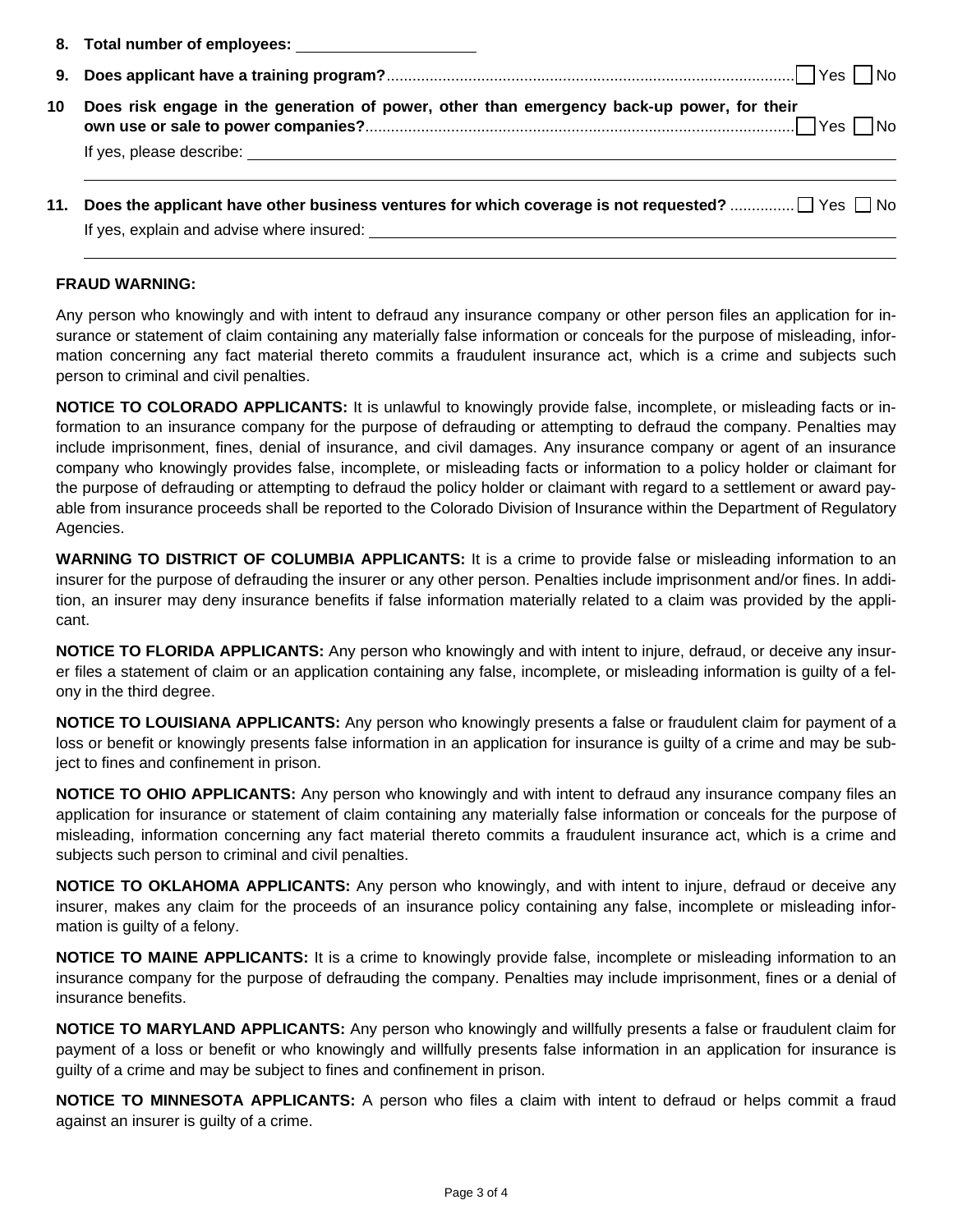|    | 8. Total number of employees: ________________________                                                        |
|----|---------------------------------------------------------------------------------------------------------------|
|    |                                                                                                               |
| 10 | Does risk engage in the generation of power, other than emergency back-up power, for their                    |
|    | 11. Does the applicant have other business ventures for which coverage is not requested? $\Box$ Yes $\Box$ No |

| If yes, explain and advise where insured: |  |
|-------------------------------------------|--|

#### **FRAUD WARNING:**

Any person who knowingly and with intent to defraud any insurance company or other person files an application for insurance or statement of claim containing any materially false information or conceals for the purpose of misleading, information concerning any fact material thereto commits a fraudulent insurance act, which is a crime and subjects such person to criminal and civil penalties.

**NOTICE TO COLORADO APPLICANTS:** It is unlawful to knowingly provide false, incomplete, or misleading facts or information to an insurance company for the purpose of defrauding or attempting to defraud the company. Penalties may include imprisonment, fines, denial of insurance, and civil damages. Any insurance company or agent of an insurance company who knowingly provides false, incomplete, or misleading facts or information to a policy holder or claimant for the purpose of defrauding or attempting to defraud the policy holder or claimant with regard to a settlement or award payable from insurance proceeds shall be reported to the Colorado Division of Insurance within the Department of Regulatory Agencies.

**WARNING TO DISTRICT OF COLUMBIA APPLICANTS:** It is a crime to provide false or misleading information to an insurer for the purpose of defrauding the insurer or any other person. Penalties include imprisonment and/or fines. In addition, an insurer may deny insurance benefits if false information materially related to a claim was provided by the applicant.

**NOTICE TO FLORIDA APPLICANTS:** Any person who knowingly and with intent to injure, defraud, or deceive any insurer files a statement of claim or an application containing any false, incomplete, or misleading information is guilty of a felony in the third degree.

**NOTICE TO LOUISIANA APPLICANTS:** Any person who knowingly presents a false or fraudulent claim for payment of a loss or benefit or knowingly presents false information in an application for insurance is guilty of a crime and may be subject to fines and confinement in prison.

**NOTICE TO OHIO APPLICANTS:** Any person who knowingly and with intent to defraud any insurance company files an application for insurance or statement of claim containing any materially false information or conceals for the purpose of misleading, information concerning any fact material thereto commits a fraudulent insurance act, which is a crime and subjects such person to criminal and civil penalties.

**NOTICE TO OKLAHOMA APPLICANTS:** Any person who knowingly, and with intent to injure, defraud or deceive any insurer, makes any claim for the proceeds of an insurance policy containing any false, incomplete or misleading information is guilty of a felony.

**NOTICE TO MAINE APPLICANTS:** It is a crime to knowingly provide false, incomplete or misleading information to an insurance company for the purpose of defrauding the company. Penalties may include imprisonment, fines or a denial of insurance benefits.

**NOTICE TO MARYLAND APPLICANTS:** Any person who knowingly and willfully presents a false or fraudulent claim for payment of a loss or benefit or who knowingly and willfully presents false information in an application for insurance is guilty of a crime and may be subject to fines and confinement in prison.

**NOTICE TO MINNESOTA APPLICANTS:** A person who files a claim with intent to defraud or helps commit a fraud against an insurer is guilty of a crime.